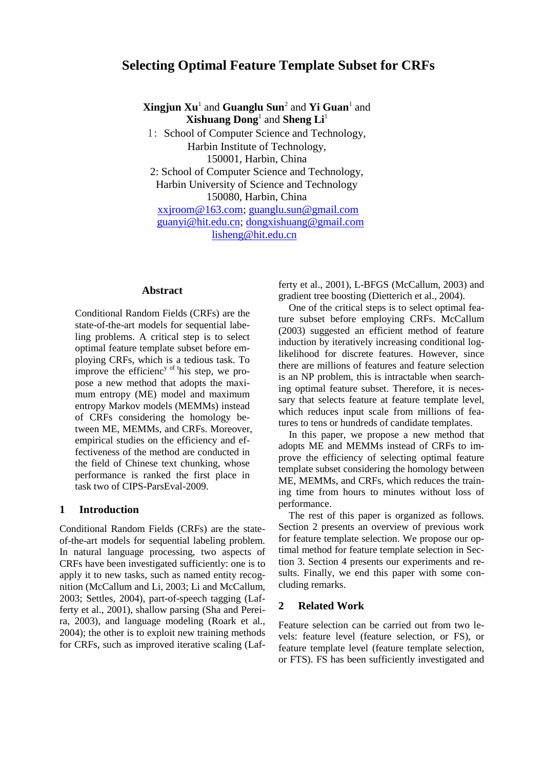# **Selecting Optimal Feature Template Subset for CRFs**

**Xingjun Xu**<sup>1</sup> and **Guanglu Sun**<sup>2</sup> and **Yi Guan**<sup>1</sup> and **Xishuang Dong**<sup>1</sup> and **Sheng Li**<sup>1</sup>

1: School of Computer Science and Technology, Harbin Institute of Technology, 150001, Harbin, China 2: School of Computer Science and Technology, Harbin University of Science and Technology 150080, Harbin, China

[xxjroom@163.com;](mailto:xxjroom@163.com) [guanglu.sun@gmail.com](mailto:guanglu.sun@gmail.com) [guanyi@hit.edu.cn;](mailto:guanyi@hit.edu.cn) [dongxishuang@gmail.com](mailto:dongxishuang@gmail.com) [lisheng@hit.edu.cn](mailto:lisheng@hit.edu.cn)

## **Abstract**

Conditional Random Fields (CRFs) are the state-of-the-art models for sequential labeling problems. A critical step is to select optimal feature template subset before employing CRFs, which is a tedious task. To improve the efficienc<sup>y of t</sup>his step, we propose a new method that adopts the maximum entropy (ME) model and maximum entropy Markov models (MEMMs) instead of CRFs considering the homology between ME, MEMMs, and CRFs. Moreover, empirical studies on the efficiency and effectiveness of the method are conducted in the field of Chinese text chunking, whose performance is ranked the first place in task two of CIPS-ParsEval-2009.

## **1 Introduction**

Conditional Random Fields (CRFs) are the stateof-the-art models for sequential labeling problem. In natural language processing, two aspects of CRFs have been investigated sufficiently: one is to apply it to new tasks, such as named entity recognition (McCallum and Li, 2003; Li and McCallum, 2003; Settles, 2004), part-of-speech tagging (Lafferty et al., 2001), shallow parsing (Sha and Pereira, 2003), and language modeling (Roark et al., 2004); the other is to exploit new training methods for CRFs, such as improved iterative scaling (Lafferty et al., 2001), L-BFGS (McCallum, 2003) and gradient tree boosting (Dietterich et al., 2004).

One of the critical steps is to select optimal feature subset before employing CRFs. McCallum (2003) suggested an efficient method of feature induction by iteratively increasing conditional loglikelihood for discrete features. However, since there are millions of features and feature selection is an NP problem, this is intractable when searching optimal feature subset. Therefore, it is necessary that selects feature at feature template level, which reduces input scale from millions of features to tens or hundreds of candidate templates.

In this paper, we propose a new method that adopts ME and MEMMs instead of CRFs to improve the efficiency of selecting optimal feature template subset considering the homology between ME, MEMMs, and CRFs, which reduces the training time from hours to minutes without loss of performance.

The rest of this paper is organized as follows. Section 2 presents an overview of previous work for feature template selection. We propose our optimal method for feature template selection in Section 3. Section 4 presents our experiments and results. Finally, we end this paper with some concluding remarks.

# **2 Related Work**

Feature selection can be carried out from two levels: feature level (feature selection, or FS), or feature template level (feature template selection, or FTS). FS has been sufficiently investigated and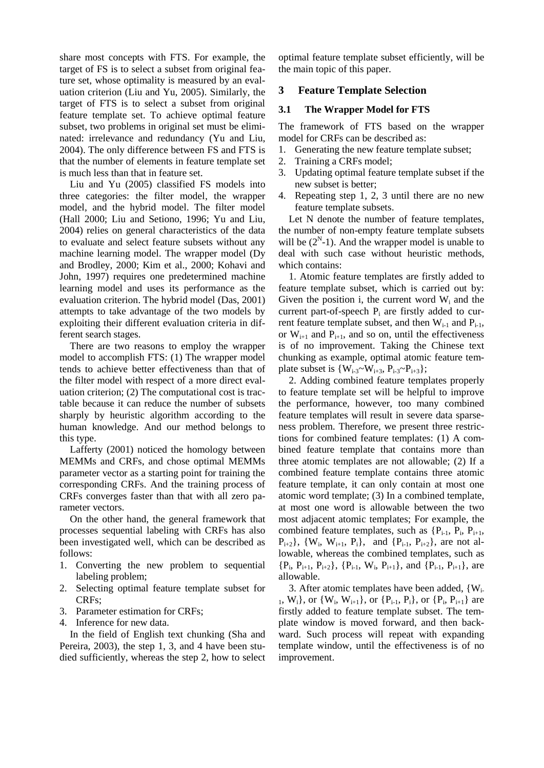share most concepts with FTS. For example, the target of FS is to select a subset from original feature set, whose optimality is measured by an evaluation criterion (Liu and Yu, 2005). Similarly, the target of FTS is to select a subset from original feature template set. To achieve optimal feature subset, two problems in original set must be eliminated: irrelevance and redundancy (Yu and Liu, 2004). The only difference between FS and FTS is that the number of elements in feature template set is much less than that in feature set.

Liu and Yu (2005) classified FS models into three categories: the filter model, the wrapper model, and the hybrid model. The filter model (Hall 2000; Liu and Setiono, 1996; Yu and Liu, 2004) relies on general characteristics of the data to evaluate and select feature subsets without any machine learning model. The wrapper model (Dy and Brodley, 2000; Kim et al., 2000; Kohavi and John, 1997) requires one predetermined machine learning model and uses its performance as the evaluation criterion. The hybrid model (Das, 2001) attempts to take advantage of the two models by exploiting their different evaluation criteria in different search stages.

There are two reasons to employ the wrapper model to accomplish FTS: (1) The wrapper model tends to achieve better effectiveness than that of the filter model with respect of a more direct evaluation criterion; (2) The computational cost is tractable because it can reduce the number of subsets sharply by heuristic algorithm according to the human knowledge. And our method belongs to this type.

Lafferty (2001) noticed the homology between MEMMs and CRFs, and chose optimal MEMMs parameter vector as a starting point for training the corresponding CRFs. And the training process of CRFs converges faster than that with all zero parameter vectors.

On the other hand, the general framework that processes sequential labeling with CRFs has also been investigated well, which can be described as follows:

- 1. Converting the new problem to sequential labeling problem;
- 2. Selecting optimal feature template subset for CRFs;
- 3. Parameter estimation for CRFs;
- 4. Inference for new data.

In the field of English text chunking (Sha and Pereira, 2003), the step 1, 3, and 4 have been studied sufficiently, whereas the step 2, how to select optimal feature template subset efficiently, will be the main topic of this paper.

# **3 Feature Template Selection**

# **3.1 The Wrapper Model for FTS**

The framework of FTS based on the wrapper model for CRFs can be described as:

- 1. Generating the new feature template subset;
- 2. Training a CRFs model;
- 3. Updating optimal feature template subset if the new subset is better;
- 4. Repeating step 1, 2, 3 until there are no new feature template subsets.

Let N denote the number of feature templates, the number of non-empty feature template subsets will be  $(2<sup>N</sup>-1)$ . And the wrapper model is unable to deal with such case without heuristic methods, which contains:

1. Atomic feature templates are firstly added to feature template subset, which is carried out by: Given the position i, the current word  $W_i$  and the current part-of-speech  $P_i$  are firstly added to current feature template subset, and then  $W_{i-1}$  and  $P_{i-1}$ , or  $W_{i+1}$  and  $P_{i+1}$ , and so on, until the effectiveness is of no improvement. Taking the Chinese text chunking as example, optimal atomic feature template subset is  $\{W_{i-3} \sim W_{i+3}, P_{i-3} \sim P_{i+3}\};$ 

2. Adding combined feature templates properly to feature template set will be helpful to improve the performance, however, too many combined feature templates will result in severe data sparseness problem. Therefore, we present three restrictions for combined feature templates: (1) A combined feature template that contains more than three atomic templates are not allowable; (2) If a combined feature template contains three atomic feature template, it can only contain at most one atomic word template; (3) In a combined template, at most one word is allowable between the two most adjacent atomic templates; For example, the combined feature templates, such as  $\{P_{i-1}, P_i, P_{i+1},\}$  $P_{i+2}$ , {W<sub>i</sub>, W<sub>i+1</sub>, P<sub>i</sub>}, and {P<sub>i-1</sub>, P<sub>i+2</sub>}, are not allowable, whereas the combined templates, such as  ${P_i, P_{i+1}, P_{i+2}}, {P_{i-1}, W_i, P_{i+1}},$  and  ${P_{i-1}, P_{i+1}},$  are allowable.

3. After atomic templates have been added, {Wi- $_1$ , W<sub>i</sub>}, or {W<sub>i</sub>, W<sub>i+1</sub>}, or {P<sub>i-1</sub>, P<sub>i</sub>}, or {P<sub>i</sub>, P<sub>i+1</sub>} are firstly added to feature template subset. The template window is moved forward, and then backward. Such process will repeat with expanding template window, until the effectiveness is of no improvement.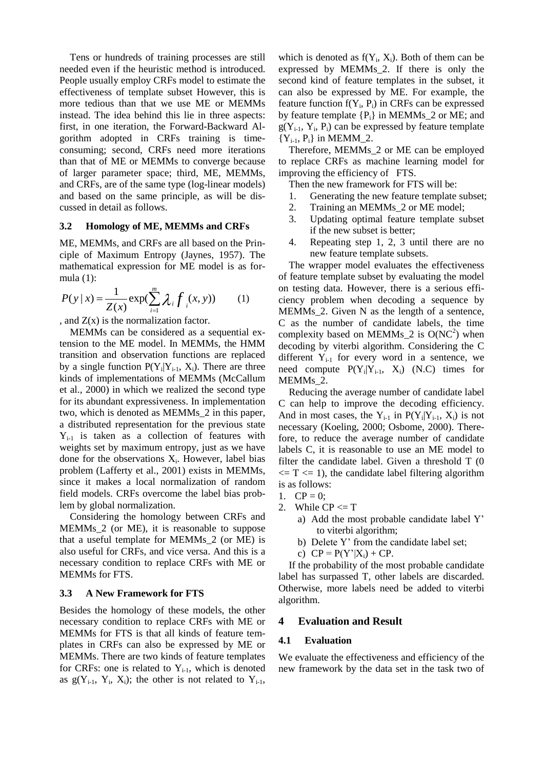Tens or hundreds of training processes are still needed even if the heuristic method is introduced. People usually employ CRFs model to estimate the effectiveness of template subset However, this is more tedious than that we use ME or MEMMs instead. The idea behind this lie in three aspects: first, in one iteration, the Forward-Backward Algorithm adopted in CRFs training is timeconsuming; second, CRFs need more iterations than that of ME or MEMMs to converge because of larger parameter space; third, ME, MEMMs, and CRFs, are of the same type (log-linear models) and based on the same principle, as will be discussed in detail as follows.

#### **3.2 Homology of ME, MEMMs and CRFs**

ME, MEMMs, and CRFs are all based on the Principle of Maximum Entropy (Jaynes, 1957). The mathematical expression for ME model is as formula (1):

$$
P(y \mid x) = \frac{1}{Z(x)} \exp(\sum_{i=1}^{m} \lambda_i f(x, y))
$$
 (1)

, and  $Z(x)$  is the normalization factor.

MEMMs can be considered as a sequential extension to the ME model. In MEMMs, the HMM transition and observation functions are replaced by a single function  $P(Y_i|Y_{i-1}, X_i)$ . There are three kinds of implementations of MEMMs (McCallum et al., 2000) in which we realized the second type for its abundant expressiveness. In implementation two, which is denoted as MEMMs\_2 in this paper, a distributed representation for the previous state  $Y_{i-1}$  is taken as a collection of features with weights set by maximum entropy, just as we have done for the observations  $X_i$ . However, label bias problem (Lafferty et al., 2001) exists in MEMMs, since it makes a local normalization of random field models. CRFs overcome the label bias problem by global normalization.

Considering the homology between CRFs and MEMMs\_2 (or ME), it is reasonable to suppose that a useful template for MEMMs\_2 (or ME) is also useful for CRFs, and vice versa. And this is a necessary condition to replace CRFs with ME or MEMMs for FTS.

#### **3.3 A New Framework for FTS**

Besides the homology of these models, the other necessary condition to replace CRFs with ME or MEMMs for FTS is that all kinds of feature templates in CRFs can also be expressed by ME or MEMMs. There are two kinds of feature templates for CRFs: one is related to  $Y_{i-1}$ , which is denoted as  $g(Y_{i-1}, Y_i, X_i)$ ; the other is not related to  $Y_{i-1}$ ,

which is denoted as  $f(Y_i, X_i)$ . Both of them can be expressed by MEMMs\_2. If there is only the second kind of feature templates in the subset, it can also be expressed by ME. For example, the feature function  $f(Y_i, P_i)$  in CRFs can be expressed by feature template  ${P_i}$  in MEMMs<sub>-2</sub> or ME; and  $g(Y_{i-1}, Y_i, P_i)$  can be expressed by feature template  ${Y_{i-1}, P_i}$  in MEMM\_2.

Therefore, MEMMs\_2 or ME can be employed to replace CRFs as machine learning model for improving the efficiency of FTS.

Then the new framework for FTS will be:

- 1. Generating the new feature template subset;
- 2. Training an MEMMs\_2 or ME model;
- 3. Updating optimal feature template subset if the new subset is better;
- 4. Repeating step 1, 2, 3 until there are no new feature template subsets.

The wrapper model evaluates the effectiveness of feature template subset by evaluating the model on testing data. However, there is a serious efficiency problem when decoding a sequence by MEMMs\_2. Given N as the length of a sentence, C as the number of candidate labels, the time complexity based on MEMMs<sub>-2</sub> is  $O(NC^2)$  when decoding by viterbi algorithm. Considering the C different  $Y_{i-1}$  for every word in a sentence, we need compute  $P(Y_i|Y_{i-1}, X_i)$  (N.C) times for MEMMs\_2.

Reducing the average number of candidate label C can help to improve the decoding efficiency. And in most cases, the  $Y_{i-1}$  in  $P(Y_i|Y_{i-1}, X_i)$  is not necessary (Koeling, 2000; Osbome, 2000). Therefore, to reduce the average number of candidate labels C, it is reasonable to use an ME model to filter the candidate label. Given a threshold T (0  $\epsilon = T \epsilon = 1$ , the candidate label filtering algorithm is as follows:

- 1.  $CP = 0$ :
- 2. While  $CP \le T$ 
	- a) Add the most probable candidate label Y' to viterbi algorithm;
	- b) Delete Y' from the candidate label set;
	- c)  $CP = P(Y'|X_i) + CP$ .

If the probability of the most probable candidate label has surpassed T, other labels are discarded. Otherwise, more labels need be added to viterbi algorithm.

#### **4 Evaluation and Result**

#### **4.1 Evaluation**

We evaluate the effectiveness and efficiency of the new framework by the data set in the task two of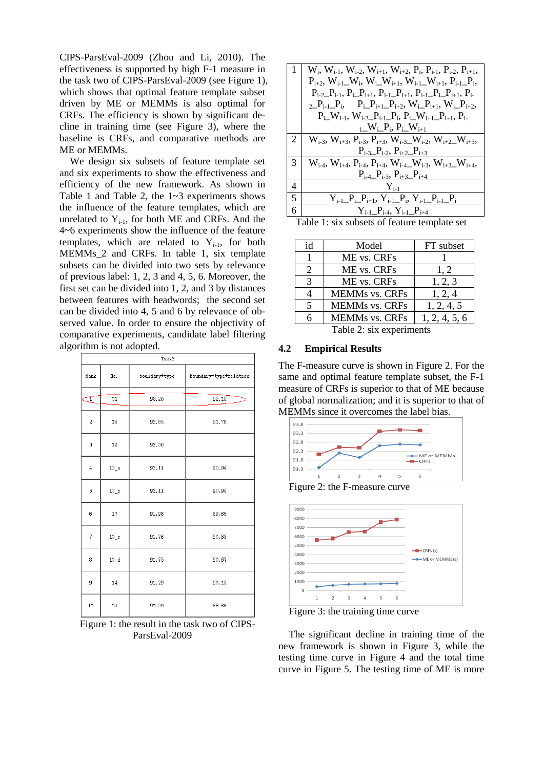CIPS-ParsEval-2009 (Zhou and Li, 2010). The effectiveness is supported by high F-1 measure in the task two of CIPS-ParsEval-2009 (see Figure 1), which shows that optimal feature template subset driven by ME or MEMMs is also optimal for CRFs. The efficiency is shown by significant decline in training time (see Figure 3), where the baseline is CRFs, and comparative methods are ME or MEMMs.

We design six subsets of feature template set and six experiments to show the effectiveness and efficiency of the new framework. As shown in Table 1 and Table 2, the 1~3 experiments shows the influence of the feature templates, which are unrelated to  $Y_{i-1}$ , for both ME and CRFs. And the 4~6 experiments show the influence of the feature templates, which are related to  $Y_{i-1}$ , for both MEMMs\_2 and CRFs. In table 1, six template subsets can be divided into two sets by relevance of previous label: 1, 2, 3 and 4, 5, 6. Moreover, the first set can be divided into 1, 2, and 3 by distances between features with headwords; the second set can be divided into 4, 5 and 6 by relevance of observed value. In order to ensure the objectivity of comparative experiments, candidate label filtering algorithm is not adopted.

| Task2          |         |               |                        |  |
|----------------|---------|---------------|------------------------|--|
| Rank           | No.     | boundary+type | boundary+type+relation |  |
| T              | 01      | 93.20         | 92.10                  |  |
| $\overline{2}$ | 15      | 92.85         | 91.76                  |  |
| 3              | 12      | 92.36         |                        |  |
| $\overline{4}$ | $10_a$  | 92.11         | 90.94                  |  |
| 5              | $10_b$  | 92.11         | 90.94                  |  |
| 6              | 17      | 91.98         | 89.85                  |  |
| 7              | $10-c$  | 91.76         | 90.63                  |  |
| 8              | $10_d$  | 91.75         | 90.67                  |  |
| 9              | 14      | 91.29         | 90.13                  |  |
| 10             | $^{00}$ | 90.39         | 88.88                  |  |

Figure 1: the result in the task two of CIPS-ParsEval-2009

|     | $W_i$ , $W_{i-1}$ , $W_{i-2}$ , $W_{i+1}$ , $W_{i+2}$ , $P_i$ , $P_{i-1}$ , $P_{i-2}$ , $P_{i+1}$ ,                                            |
|-----|------------------------------------------------------------------------------------------------------------------------------------------------|
|     | $P_{i+2}$ , $W_{i-1}$ , $W_i$ , $W_i$ , $W_{i+1}$ , $W_{i-1}$ , $W_{i+1}$ , $P_{i-1}$ , $P_i$                                                  |
|     | $P_{i-2}P_{i-1}$ , $P_{i-1}P_{i+1}$ , $P_{i-1}P_{i+1}$ , $P_{i-1}P_{i-1}P_{i+1}$ , $P_{i-1}$                                                   |
|     | 2 $P_{i-1}$ , $P_i$ , $P_{i+1}$ , $P_{i+2}$ , $W_i$ , $P_{i+1}$ , $W_i$ , $P_{i+2}$ ,                                                          |
|     | $P_i$ W <sub>i-1</sub> , W <sub>i-2</sub> P <sub>i-1</sub> P <sub>i</sub> , P <sub>i</sub> W <sub>i+1</sub> P <sub>i+1</sub> , P <sub>i-</sub> |
|     | $L_{\perp}$ W <sub>i<math>\perp</math></sub> P <sub>i</sub> , P <sub>i</sub> $\perp$ W <sub>i+1</sub>                                          |
| 2   | $W_{i-3}$ , $W_{i+3}$ , $P_{i-3}$ , $P_{i+3}$ , $W_{i-3}$ , $W_{i-2}$ , $W_{i+2}$ , $W_{i+3}$ ,                                                |
|     | $P_{i-3}P_{i-2}$ , $P_{i+2}P_{i+3}$                                                                                                            |
| 3   | $W_{i-4}$ , $W_{i+4}$ , $P_{i-4}$ , $P_{i+4}$ , $W_{i-4}$ , $W_{i-3}$ , $W_{i+3}$ , $W_{i+4}$ ,                                                |
|     | $P_{i-4}\_P_{i-3}, P_{i+3}\_P_{i+4}$                                                                                                           |
| 4   | $Y_{i-1}$                                                                                                                                      |
| I 5 | $Y_{i-1}P_{i-}P_{i+1}, Y_{i-1}P_{i}, Y_{i-1}P_{i-}P_{i-}P_{i}$                                                                                 |
| 6   | $Y_{i-1}P_{i-4}, Y_{i-1}P_{i+4}$                                                                                                               |

|  |  |  | Table 1: six subsets of feature template set |  |  |  |  |  |
|--|--|--|----------------------------------------------|--|--|--|--|--|
|--|--|--|----------------------------------------------|--|--|--|--|--|

| id                       | Model                 | FT subset     |  |  |
|--------------------------|-----------------------|---------------|--|--|
| 1                        | ME vs. CRFs           |               |  |  |
| 2                        | ME vs. CRFs           | 1, 2          |  |  |
| 3                        | ME vs. CRFs           | 1, 2, 3       |  |  |
| 4                        | <b>MEMMs vs. CRFs</b> | 1, 2, 4       |  |  |
| $\overline{5}$           | <b>MEMMs vs. CRFs</b> | 1, 2, 4, 5    |  |  |
| 6                        | <b>MEMMs vs. CRFs</b> | 1, 2, 4, 5, 6 |  |  |
| Table 2: six experiments |                       |               |  |  |

#### **4.2 Empirical Results**

The F-measure curve is shown in Figure 2. For the same and optimal feature template subset, the F-1 measure of CRFs is superior to that of ME because of global normalization; and it is superior to that of MEMMs since it overcomes the label bias.







Figure 3: the training time curve

The significant decline in training time of the new framework is shown in Figure 3, while the testing time curve in Figure 4 and the total time curve in Figure 5. The testing time of ME is more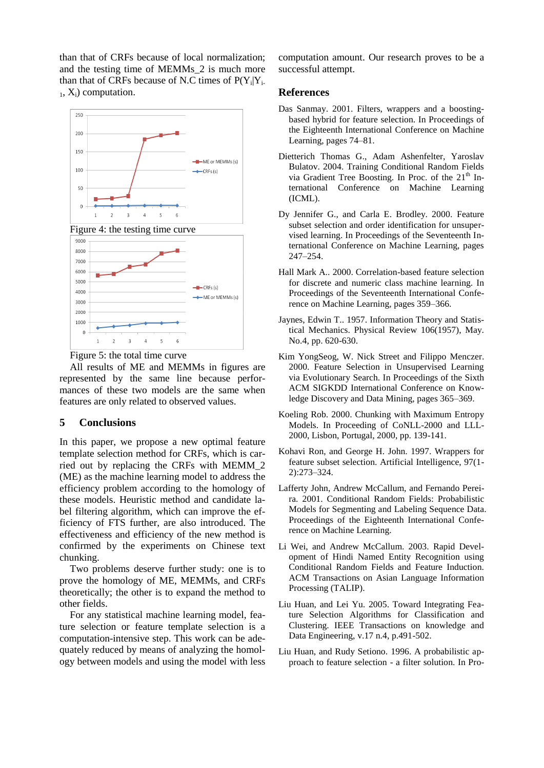than that of CRFs because of local normalization; and the testing time of MEMMs\_2 is much more than that of CRFs because of N.C times of  $P(Y_i|Y_i)$ .  $_1$ ,  $X_i$ ) computation.





All results of ME and MEMMs in figures are represented by the same line because performances of these two models are the same when features are only related to observed values.

# **5 Conclusions**

In this paper, we propose a new optimal feature template selection method for CRFs, which is carried out by replacing the CRFs with MEMM\_2 (ME) as the machine learning model to address the efficiency problem according to the homology of these models. Heuristic method and candidate label filtering algorithm, which can improve the efficiency of FTS further, are also introduced. The effectiveness and efficiency of the new method is confirmed by the experiments on Chinese text chunking.

Two problems deserve further study: one is to prove the homology of ME, MEMMs, and CRFs theoretically; the other is to expand the method to other fields.

For any statistical machine learning model, feature selection or feature template selection is a computation-intensive step. This work can be adequately reduced by means of analyzing the homology between models and using the model with less computation amount. Our research proves to be a successful attempt.

### **References**

- Das Sanmay. 2001. Filters, wrappers and a boostingbased hybrid for feature selection. In Proceedings of the Eighteenth International Conference on Machine Learning, pages 74–81.
- Dietterich Thomas G., Adam Ashenfelter, Yaroslav Bulatov. 2004. Training Conditional Random Fields via Gradient Tree Boosting. In Proc. of the 21<sup>th</sup> International Conference on Machine Learning (ICML).
- Dy Jennifer G., and Carla E. Brodley. 2000. Feature subset selection and order identification for unsupervised learning. In Proceedings of the Seventeenth International Conference on Machine Learning, pages 247–254.
- Hall Mark A.. 2000. Correlation-based feature selection for discrete and numeric class machine learning. In Proceedings of the Seventeenth International Conference on Machine Learning, pages 359–366.
- Jaynes, Edwin T.. 1957. Information Theory and Statistical Mechanics. Physical Review 106(1957), May. No.4, pp. 620-630.
- Kim YongSeog, W. Nick Street and Filippo Menczer. 2000. Feature Selection in Unsupervised Learning via Evolutionary Search. In Proceedings of the Sixth ACM SIGKDD International Conference on Knowledge Discovery and Data Mining, pages 365–369.
- Koeling Rob. 2000. Chunking with Maximum Entropy Models. In Proceeding of CoNLL-2000 and LLL-2000, Lisbon, Portugal, 2000, pp. 139-141.
- Kohavi Ron, and George H. John. 1997. Wrappers for feature subset selection. Artificial Intelligence, 97(1- 2):273–324.
- Lafferty John, Andrew McCallum, and Fernando Pereira. 2001. Conditional Random Fields: Probabilistic Models for Segmenting and Labeling Sequence Data. Proceedings of the Eighteenth International Conference on Machine Learning.
- Li Wei, and Andrew McCallum. 2003. Rapid Development of Hindi Named Entity Recognition using Conditional Random Fields and Feature Induction. ACM Transactions on Asian Language Information Processing (TALIP).
- Liu Huan, and Lei Yu. 2005. Toward Integrating Feature Selection Algorithms for Classification and Clustering. IEEE Transactions on knowledge and Data Engineering, v.17 n.4, p.491-502.
- Liu Huan, and Rudy Setiono. 1996. A probabilistic approach to feature selection - a filter solution. In Pro-